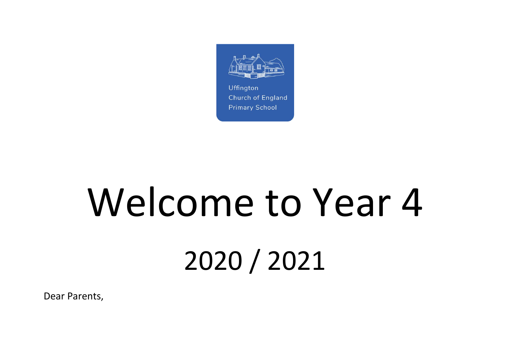

# Welcome to Year 4 2020 / 2021

Dear Parents,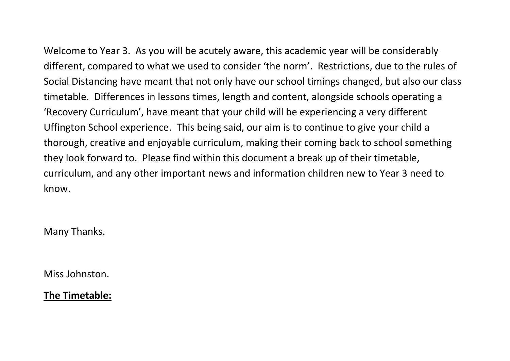Welcome to Year 3. As you will be acutely aware, this academic year will be considerably different, compared to what we used to consider 'the norm'. Restrictions, due to the rules of Social Distancing have meant that not only have our school timings changed, but also our class timetable. Differences in lessons times, length and content, alongside schools operating a 'Recovery Curriculum', have meant that your child will be experiencing a very different Uffington School experience. This being said, our aim is to continue to give your child a thorough, creative and enjoyable curriculum, making their coming back to school something they look forward to. Please find within this document a break up of their timetable, curriculum, and any other important news and information children new to Year 3 need to know.

Many Thanks.

Miss Johnston.

**The Timetable:**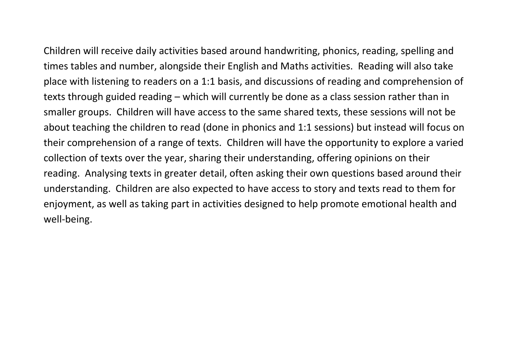Children will receive daily activities based around handwriting, phonics, reading, spelling and times tables and number, alongside their English and Maths activities. Reading will also take place with listening to readers on a 1:1 basis, and discussions of reading and comprehension of texts through guided reading – which will currently be done as a class session rather than in smaller groups. Children will have access to the same shared texts, these sessions will not be about teaching the children to read (done in phonics and 1:1 sessions) but instead will focus on their comprehension of a range of texts. Children will have the opportunity to explore a varied collection of texts over the year, sharing their understanding, offering opinions on their reading. Analysing texts in greater detail, often asking their own questions based around their understanding. Children are also expected to have access to story and texts read to them for enjoyment, as well as taking part in activities designed to help promote emotional health and well-being.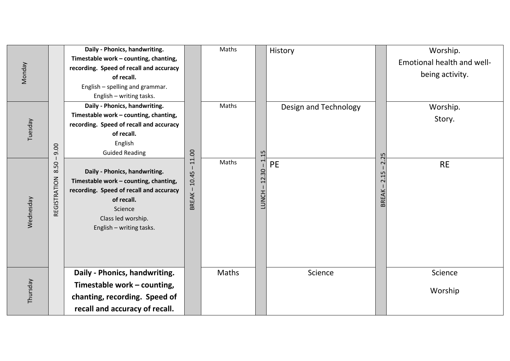|               |                      | Daily - Phonics, handwriting.                                                                                                                                                                |                                | Maths |                | History               |                                                  | Worship.                   |
|---------------|----------------------|----------------------------------------------------------------------------------------------------------------------------------------------------------------------------------------------|--------------------------------|-------|----------------|-----------------------|--------------------------------------------------|----------------------------|
|               |                      | Timestable work - counting, chanting,                                                                                                                                                        |                                |       |                |                       |                                                  | Emotional health and well- |
| <b>Monday</b> |                      | recording. Speed of recall and accuracy                                                                                                                                                      |                                |       |                |                       |                                                  | being activity.            |
|               |                      | of recall.                                                                                                                                                                                   |                                |       |                |                       |                                                  |                            |
|               |                      | English - spelling and grammar.<br>English - writing tasks.                                                                                                                                  |                                |       |                |                       |                                                  |                            |
|               |                      | Daily - Phonics, handwriting.                                                                                                                                                                |                                | Maths |                |                       |                                                  |                            |
|               |                      | Timestable work - counting, chanting,                                                                                                                                                        |                                |       |                | Design and Technology |                                                  | Worship.                   |
| Tuesday       |                      | recording. Speed of recall and accuracy                                                                                                                                                      |                                |       |                |                       |                                                  | Story.                     |
|               |                      | of recall.                                                                                                                                                                                   |                                |       |                |                       |                                                  |                            |
|               |                      | English                                                                                                                                                                                      |                                |       |                |                       |                                                  |                            |
|               | 0.60                 | <b>Guided Reading</b>                                                                                                                                                                        |                                |       | 15             |                       | 25                                               |                            |
| Wednesday     | 8.50<br>REGISTRATION | Daily - Phonics, handwriting.<br>Timestable work - counting, chanting,<br>recording. Speed of recall and accuracy<br>of recall.<br>Science<br>Class led worship.<br>English - writing tasks. | 11.00<br>10.45<br><b>BREAK</b> | Maths | 12.30<br>LUNCH | PE                    | $\sim$<br>15<br>$\overline{\mathbf{C}}$<br>BREAK | <b>RE</b>                  |
|               |                      | Daily - Phonics, handwriting.                                                                                                                                                                |                                | Maths |                | Science               |                                                  | Science                    |
| Thursday      |                      | Timestable work - counting,                                                                                                                                                                  |                                |       |                |                       |                                                  |                            |
|               |                      | chanting, recording. Speed of                                                                                                                                                                |                                |       |                |                       |                                                  | Worship                    |
|               |                      | recall and accuracy of recall.                                                                                                                                                               |                                |       |                |                       |                                                  |                            |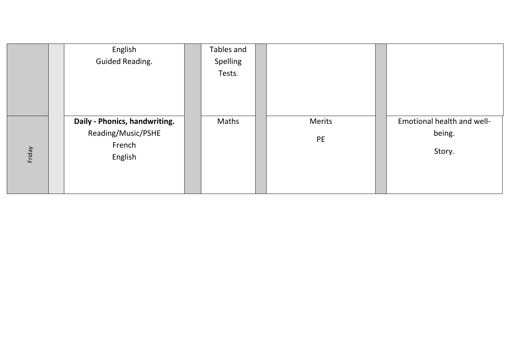|        | English                       | Tables and |        |                            |
|--------|-------------------------------|------------|--------|----------------------------|
|        | <b>Guided Reading.</b>        | Spelling   |        |                            |
|        |                               | Tests.     |        |                            |
|        |                               |            |        |                            |
|        |                               |            |        |                            |
|        |                               |            |        |                            |
|        | Daily - Phonics, handwriting. | Maths      | Merits | Emotional health and well- |
|        | Reading/Music/PSHE            |            | PE     | being.                     |
|        | French                        |            |        |                            |
| Friday | English                       |            |        | Story.                     |
|        |                               |            |        |                            |
|        |                               |            |        |                            |
|        |                               |            |        |                            |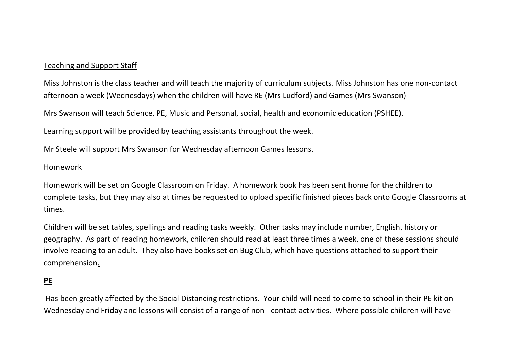# Teaching and Support Staff

Miss Johnston is the class teacher and will teach the majority of curriculum subjects. Miss Johnston has one non-contact afternoon a week (Wednesdays) when the children will have RE (Mrs Ludford) and Games (Mrs Swanson)

Mrs Swanson will teach Science, PE, Music and Personal, social, health and economic education (PSHEE).

Learning support will be provided by teaching assistants throughout the week.

Mr Steele will support Mrs Swanson for Wednesday afternoon Games lessons.

## Homework

Homework will be set on Google Classroom on Friday. A homework book has been sent home for the children to complete tasks, but they may also at times be requested to upload specific finished pieces back onto Google Classrooms at times.

Children will be set tables, spellings and reading tasks weekly. Other tasks may include number, English, history or geography. As part of reading homework, children should read at least three times a week, one of these sessions should involve reading to an adult. They also have books set on Bug Club, which have questions attached to support their comprehension.

# **PE**

Has been greatly affected by the Social Distancing restrictions. Your child will need to come to school in their PE kit on Wednesday and Friday and lessons will consist of a range of non - contact activities. Where possible children will have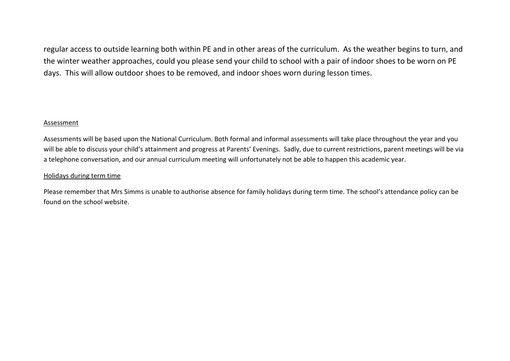regular access to outside learning both within PE and in other areas of the curriculum. As the weather begins to turn, and the winter weather approaches, could you please send your child to school with a pair of indoor shoes to be worn on PE days. This will allow outdoor shoes to be removed, and indoor shoes worn during lesson times.

#### **Assessment**

Assessments will be based upon the National Curriculum. Both formal and informal assessments will take place throughout the year and you will be able to discuss your child's attainment and progress at Parents' Evenings. Sadly, due to current restrictions, parent meetings will be via a telephone conversation, and our annual curriculum meeting will unfortunately not be able to happen this academic year.

#### Holidays during term time

Please remember that Mrs Simms is unable to authorise absence for family holidays during term time. The school's attendance policy can be found on the school website.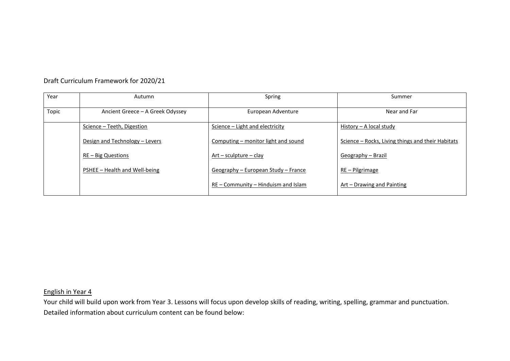| Year  | Autumn                           | Spring                                | Summer                                            |
|-------|----------------------------------|---------------------------------------|---------------------------------------------------|
| Topic | Ancient Greece - A Greek Odyssey | European Adventure                    | Near and Far                                      |
|       | Science - Teeth, Digestion       | Science – Light and electricity       | History – A local study                           |
|       | Design and Technology - Levers   | Computing – monitor light and sound   | Science – Rocks, Living things and their Habitats |
|       | $RE - Big Questions$             | $Art$ – sculpture – clay              | Geography - Brazil                                |
|       | PSHEE - Health and Well-being    | Geography – European Study – France   | RE - Pilgrimage                                   |
|       |                                  | $RE$ – Community – Hinduism and Islam | Art – Drawing and Painting                        |

Draft Curriculum Framework for 2020/21

### English in Year 4

Your child will build upon work from Year 3. Lessons will focus upon develop skills of reading, writing, spelling, grammar and punctuation. Detailed information about curriculum content can be found below: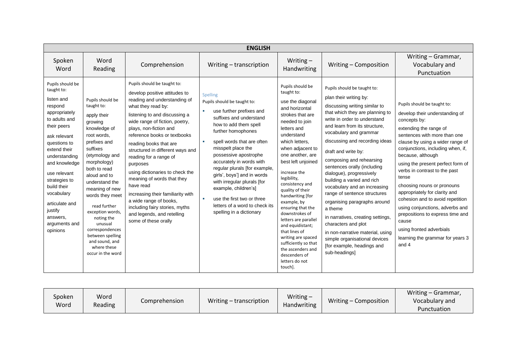|                                                                                                                                                                                                                                                                                                                                |                                                                                                                                                                                                                                                                                                                                                                                                       |                                                                                                                                                                                                                                                                                                                                                                                                                                                                                                                                                                                          | <b>ENGLISH</b>                                                                                                                                                                                                                                                                                                                                                                                                                                                                                |                                                                                                                                                                                                                                                                                                                                                                                                                                                                                                                                                       |                                                                                                                                                                                                                                                                                                                                                                                                                                                                                                                                                                                                                                                                                               |                                                                                                                                                                                                                                                                                                                                                                                                                                                                                                                                                                                  |
|--------------------------------------------------------------------------------------------------------------------------------------------------------------------------------------------------------------------------------------------------------------------------------------------------------------------------------|-------------------------------------------------------------------------------------------------------------------------------------------------------------------------------------------------------------------------------------------------------------------------------------------------------------------------------------------------------------------------------------------------------|------------------------------------------------------------------------------------------------------------------------------------------------------------------------------------------------------------------------------------------------------------------------------------------------------------------------------------------------------------------------------------------------------------------------------------------------------------------------------------------------------------------------------------------------------------------------------------------|-----------------------------------------------------------------------------------------------------------------------------------------------------------------------------------------------------------------------------------------------------------------------------------------------------------------------------------------------------------------------------------------------------------------------------------------------------------------------------------------------|-------------------------------------------------------------------------------------------------------------------------------------------------------------------------------------------------------------------------------------------------------------------------------------------------------------------------------------------------------------------------------------------------------------------------------------------------------------------------------------------------------------------------------------------------------|-----------------------------------------------------------------------------------------------------------------------------------------------------------------------------------------------------------------------------------------------------------------------------------------------------------------------------------------------------------------------------------------------------------------------------------------------------------------------------------------------------------------------------------------------------------------------------------------------------------------------------------------------------------------------------------------------|----------------------------------------------------------------------------------------------------------------------------------------------------------------------------------------------------------------------------------------------------------------------------------------------------------------------------------------------------------------------------------------------------------------------------------------------------------------------------------------------------------------------------------------------------------------------------------|
| Spoken<br>Word                                                                                                                                                                                                                                                                                                                 | Word<br>Reading                                                                                                                                                                                                                                                                                                                                                                                       | Comprehension                                                                                                                                                                                                                                                                                                                                                                                                                                                                                                                                                                            | Writing – transcription                                                                                                                                                                                                                                                                                                                                                                                                                                                                       | Writing $-$<br>Handwriting                                                                                                                                                                                                                                                                                                                                                                                                                                                                                                                            | Writing - Composition                                                                                                                                                                                                                                                                                                                                                                                                                                                                                                                                                                                                                                                                         | Writing - Grammar,<br>Vocabulary and<br>Punctuation                                                                                                                                                                                                                                                                                                                                                                                                                                                                                                                              |
| Pupils should be<br>taught to:<br>listen and<br>respond<br>appropriately<br>to adults and<br>their peers<br>ask relevant<br>questions to<br>extend their<br>understanding<br>and knowledge<br>use relevant<br>strategies to<br>build their<br>vocabulary<br>articulate and<br>justify<br>answers,<br>arguments and<br>opinions | Pupils should be<br>taught to:<br>apply their<br>growing<br>knowledge of<br>root words.<br>prefixes and<br>suffixes<br>(etymology and<br>morphology)<br>both to read<br>aloud and to<br>understand the<br>meaning of new<br>words they meet<br>read further<br>exception words,<br>noting the<br>unusual<br>correspondences<br>between spelling<br>and sound, and<br>where these<br>occur in the word | Pupils should be taught to:<br>develop positive attitudes to<br>reading and understanding of<br>what they read by:<br>listening to and discussing a<br>wide range of fiction, poetry,<br>plays, non-fiction and<br>reference books or textbooks<br>reading books that are<br>structured in different ways and<br>reading for a range of<br>purposes<br>using dictionaries to check the<br>meaning of words that they<br>have read<br>increasing their familiarity with<br>a wide range of books,<br>including fairy stories, myths<br>and legends, and retelling<br>some of these orally | Spelling<br>Pupils should be taught to:<br>use further prefixes and<br>a.<br>suffixes and understand<br>how to add them spell<br>further homophones<br>spell words that are often<br><b>COL</b><br>misspelt place the<br>possessive apostrophe<br>accurately in words with<br>regular plurals [for example,<br>girls', boys'] and in words<br>with irregular plurals [for<br>example, children's]<br>use the first two or three<br>letters of a word to check its<br>spelling in a dictionary | Pupils should be<br>taught to:<br>use the diagonal<br>and horizontal<br>strokes that are<br>needed to join<br>letters and<br>understand<br>which letters.<br>when adjacent to<br>one another, are<br>best left unjoined<br>increase the<br>legibility,<br>consistency and<br>quality of their<br>handwriting [for<br>example, by<br>ensuring that the<br>downstrokes of<br>letters are parallel<br>and equidistant;<br>that lines of<br>writing are spaced<br>sufficiently so that<br>the ascenders and<br>descenders of<br>letters do not<br>touch]. | Pupils should be taught to:<br>plan their writing by:<br>discussing writing similar to<br>that which they are planning to<br>write in order to understand<br>and learn from its structure.<br>vocabulary and grammar<br>discussing and recording ideas<br>draft and write by:<br>composing and rehearsing<br>sentences orally (including<br>dialogue), progressively<br>building a varied and rich<br>vocabulary and an increasing<br>range of sentence structures<br>organising paragraphs around<br>a theme<br>in narratives, creating settings,<br>characters and plot<br>in non-narrative material, using<br>simple organisational devices<br>[for example, headings and<br>sub-headings] | Pupils should be taught to:<br>develop their understanding of<br>concepts by:<br>extending the range of<br>sentences with more than one<br>clause by using a wider range of<br>conjunctions, including when, if,<br>because, although<br>using the present perfect form of<br>verbs in contrast to the past<br>tense<br>choosing nouns or pronouns<br>appropriately for clarity and<br>cohesion and to avoid repetition<br>using conjunctions, adverbs and<br>prepositions to express time and<br>cause<br>using fronted adverbials<br>learning the grammar for years 3<br>and 4 |

| Spoken<br>Word | Word<br>Reading | Comprehension | Writing – transcription | Writing $-$<br><b>Handwriting</b> | Writing – Composition | Writing - Grammar,<br>Vocabulary and<br>Punctuation |
|----------------|-----------------|---------------|-------------------------|-----------------------------------|-----------------------|-----------------------------------------------------|
|----------------|-----------------|---------------|-------------------------|-----------------------------------|-----------------------|-----------------------------------------------------|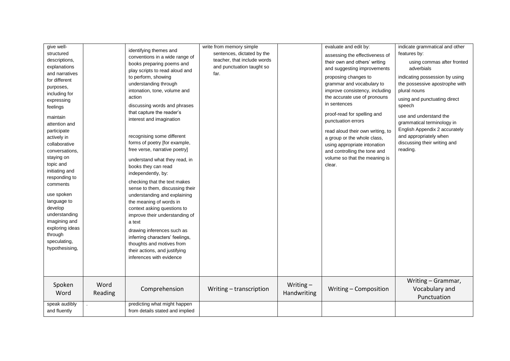| give well-<br>structured<br>descriptions,<br>explanations<br>and narratives<br>for different<br>purposes,<br>including for<br>expressing<br>feelings<br>maintain<br>attention and<br>participate<br>actively in<br>collaborative<br>conversations,<br>staying on<br>topic and<br>initiating and<br>responding to<br>comments<br>use spoken<br>language to<br>develop<br>understanding<br>imagining and<br>exploring ideas<br>through<br>speculating,<br>hypothesising, |                 | identifying themes and<br>conventions in a wide range of<br>books preparing poems and<br>play scripts to read aloud and<br>to perform, showing<br>understanding through<br>intonation, tone, volume and<br>action<br>discussing words and phrases<br>that capture the reader's<br>interest and imagination<br>recognising some different<br>forms of poetry [for example,<br>free verse, narrative poetry]<br>understand what they read, in<br>books they can read<br>independently, by:<br>checking that the text makes<br>sense to them, discussing their<br>understanding and explaining<br>the meaning of words in<br>context asking questions to<br>improve their understanding of<br>a text<br>drawing inferences such as<br>inferring characters' feelings,<br>thoughts and motives from<br>their actions, and justifying<br>inferences with evidence | write from memory simple<br>sentences, dictated by the<br>teacher, that include words<br>and punctuation taught so<br>far. |                            | evaluate and edit by:<br>assessing the effectiveness of<br>their own and others' writing<br>and suggesting improvements<br>proposing changes to<br>grammar and vocabulary to<br>improve consistency, including<br>the accurate use of pronouns<br>in sentences<br>proof-read for spelling and<br>punctuation errors<br>read aloud their own writing, to<br>a group or the whole class,<br>using appropriate intonation<br>and controlling the tone and<br>volume so that the meaning is<br>clear. | indicate grammatical and other<br>features by:<br>using commas after fronted<br>adverbials<br>indicating possession by using<br>the possessive apostrophe with<br>plural nouns<br>using and punctuating direct<br>speech<br>use and understand the<br>grammatical terminology in<br>English Appendix 2 accurately<br>and appropriately when<br>discussing their writing and<br>reading.<br>Writing - Grammar, |
|------------------------------------------------------------------------------------------------------------------------------------------------------------------------------------------------------------------------------------------------------------------------------------------------------------------------------------------------------------------------------------------------------------------------------------------------------------------------|-----------------|--------------------------------------------------------------------------------------------------------------------------------------------------------------------------------------------------------------------------------------------------------------------------------------------------------------------------------------------------------------------------------------------------------------------------------------------------------------------------------------------------------------------------------------------------------------------------------------------------------------------------------------------------------------------------------------------------------------------------------------------------------------------------------------------------------------------------------------------------------------|----------------------------------------------------------------------------------------------------------------------------|----------------------------|---------------------------------------------------------------------------------------------------------------------------------------------------------------------------------------------------------------------------------------------------------------------------------------------------------------------------------------------------------------------------------------------------------------------------------------------------------------------------------------------------|---------------------------------------------------------------------------------------------------------------------------------------------------------------------------------------------------------------------------------------------------------------------------------------------------------------------------------------------------------------------------------------------------------------|
| Spoken<br>Word                                                                                                                                                                                                                                                                                                                                                                                                                                                         | Word<br>Reading | Comprehension                                                                                                                                                                                                                                                                                                                                                                                                                                                                                                                                                                                                                                                                                                                                                                                                                                                | Writing - transcription                                                                                                    | Writing $-$<br>Handwriting | Writing - Composition                                                                                                                                                                                                                                                                                                                                                                                                                                                                             | Vocabulary and<br>Punctuation                                                                                                                                                                                                                                                                                                                                                                                 |
| speak audibly<br>and fluently                                                                                                                                                                                                                                                                                                                                                                                                                                          |                 | predicting what might happen<br>from details stated and implied                                                                                                                                                                                                                                                                                                                                                                                                                                                                                                                                                                                                                                                                                                                                                                                              |                                                                                                                            |                            |                                                                                                                                                                                                                                                                                                                                                                                                                                                                                                   |                                                                                                                                                                                                                                                                                                                                                                                                               |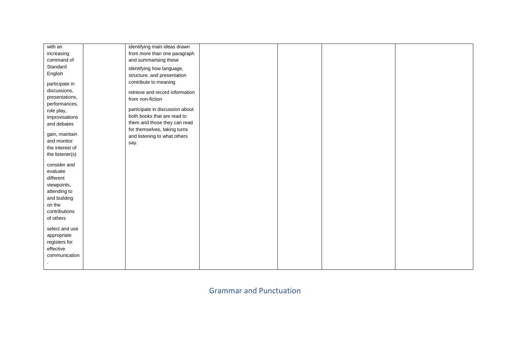| with an         | identifying main ideas drawn    |  |  |
|-----------------|---------------------------------|--|--|
|                 |                                 |  |  |
| increasing      | from more than one paragraph    |  |  |
| command of      | and summarising these           |  |  |
| Standard        | identifying how language,       |  |  |
| English         | structure, and presentation     |  |  |
|                 | contribute to meaning           |  |  |
| participate in  |                                 |  |  |
| discussions,    | retrieve and record information |  |  |
| presentations,  | from non-fiction                |  |  |
| performances,   |                                 |  |  |
| role play,      | participate in discussion about |  |  |
| improvisations  | both books that are read to     |  |  |
| and debates     | them and those they can read    |  |  |
|                 | for themselves, taking turns    |  |  |
| gain, maintain  | and listening to what others    |  |  |
| and monitor     | say.                            |  |  |
| the interest of |                                 |  |  |
| the listener(s) |                                 |  |  |
|                 |                                 |  |  |
| consider and    |                                 |  |  |
| evaluate        |                                 |  |  |
| different       |                                 |  |  |
| viewpoints,     |                                 |  |  |
| attending to    |                                 |  |  |
| and building    |                                 |  |  |
| on the          |                                 |  |  |
| contributions   |                                 |  |  |
| of others       |                                 |  |  |
|                 |                                 |  |  |
| select and use  |                                 |  |  |
| appropriate     |                                 |  |  |
| registers for   |                                 |  |  |
| effective       |                                 |  |  |
| communication   |                                 |  |  |
|                 |                                 |  |  |
|                 |                                 |  |  |

Grammar and Punctuation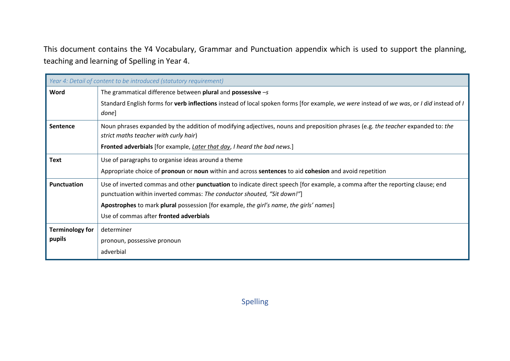This document contains the Y4 Vocabulary, Grammar and Punctuation appendix which is used to support the planning, teaching and learning of Spelling in Year 4.

|                        | Year 4: Detail of content to be introduced (statutory requirement)                                                                                                                                      |
|------------------------|---------------------------------------------------------------------------------------------------------------------------------------------------------------------------------------------------------|
| Word                   | The grammatical difference between plural and possessive $-s$                                                                                                                                           |
|                        | Standard English forms for verb inflections instead of local spoken forms [for example, we were instead of we was, or I did instead of I<br>done]                                                       |
| <b>Sentence</b>        | Noun phrases expanded by the addition of modifying adjectives, nouns and preposition phrases (e.g. the teacher expanded to: the<br>strict maths teacher with curly hair)                                |
|                        | Fronted adverbials [for example, Later that day, I heard the bad news.]                                                                                                                                 |
| <b>Text</b>            | Use of paragraphs to organise ideas around a theme                                                                                                                                                      |
|                        | Appropriate choice of <b>pronoun</b> or <b>noun</b> within and across <b>sentences</b> to aid <b>cohesion</b> and avoid repetition                                                                      |
| Punctuation            | Use of inverted commas and other punctuation to indicate direct speech [for example, a comma after the reporting clause; end<br>punctuation within inverted commas: The conductor shouted, "Sit down!"] |
|                        | Apostrophes to mark plural possession [for example, the girl's name, the girls' names]                                                                                                                  |
|                        | Use of commas after fronted adverbials                                                                                                                                                                  |
| <b>Terminology for</b> | determiner                                                                                                                                                                                              |
| pupils                 | pronoun, possessive pronoun                                                                                                                                                                             |
|                        | adverbial                                                                                                                                                                                               |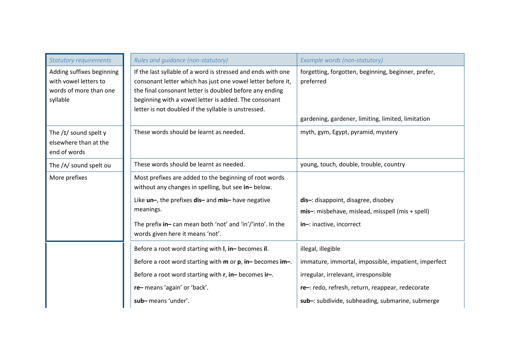| <b>Statutory requirements</b>                                                            | Rules and guidance (non-statutory)                                                                                                                                                                                                                                                                      | Example words (non-statutory)                                                                                          |
|------------------------------------------------------------------------------------------|---------------------------------------------------------------------------------------------------------------------------------------------------------------------------------------------------------------------------------------------------------------------------------------------------------|------------------------------------------------------------------------------------------------------------------------|
| Adding suffixes beginning<br>with yowel letters to<br>words of more than one<br>syllable | If the last syllable of a word is stressed and ends with one<br>consonant letter which has just one vowel letter before it,<br>the final consonant letter is doubled before any ending<br>beginning with a vowel letter is added. The consonant<br>letter is not doubled if the syllable is unstressed. | forgetting, forgotten, beginning, beginner, prefer,<br>preferred<br>gardening, gardener, limiting, limited, limitation |
| The $/I/$ sound spelt y<br>elsewhere than at the<br>end of words                         | These words should be learnt as needed.                                                                                                                                                                                                                                                                 | myth, gym, Egypt, pyramid, mystery                                                                                     |
| The / N sound spelt ou                                                                   | These words should be learnt as needed.                                                                                                                                                                                                                                                                 | young, touch, double, trouble, country                                                                                 |
| More prefixes                                                                            | Most prefixes are added to the beginning of root words<br>without any changes in spelling, but see in-below.                                                                                                                                                                                            |                                                                                                                        |
|                                                                                          | Like un-, the prefixes dis- and mis- have negative<br>meanings.                                                                                                                                                                                                                                         | dis-: disappoint, disagree, disobey<br>mis-: misbehave, mislead, misspell (mis + spell)                                |
|                                                                                          | The prefix in-can mean both 'not' and 'in'/'into'. In the<br>words given here it means 'not'.                                                                                                                                                                                                           | in-: inactive, incorrect                                                                                               |
|                                                                                          | Before a root word starting with I, in-becomes il.                                                                                                                                                                                                                                                      | illegal, illegible                                                                                                     |
|                                                                                          | Before a root word starting with m or p, in-becomes im-.                                                                                                                                                                                                                                                | immature, immortal, impossible, impatient, imperfect                                                                   |
|                                                                                          | Before a root word starting with r, in-becomes ir-.                                                                                                                                                                                                                                                     | irregular, irrelevant, irresponsible                                                                                   |
|                                                                                          | re-means 'again' or 'back'.                                                                                                                                                                                                                                                                             | re-: redo, refresh, return, reappear, redecorate                                                                       |
|                                                                                          | sub-means 'under'.                                                                                                                                                                                                                                                                                      | sub-: subdivide, subheading, submarine, submerge                                                                       |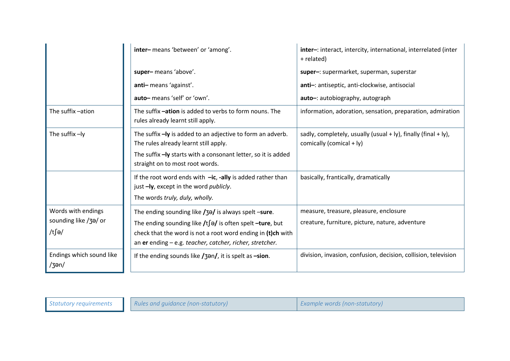|                                                      | inter-means 'between' or 'among'.                                                                                                                                                                                                                          | inter-: interact, intercity, international, interrelated (inter<br>+ related)                          |
|------------------------------------------------------|------------------------------------------------------------------------------------------------------------------------------------------------------------------------------------------------------------------------------------------------------------|--------------------------------------------------------------------------------------------------------|
|                                                      | super-means 'above'.                                                                                                                                                                                                                                       | super-: supermarket, superman, superstar                                                               |
|                                                      | anti-means 'against'.                                                                                                                                                                                                                                      | anti-: antiseptic, anti-clockwise, antisocial                                                          |
|                                                      | auto-means 'self' or 'own'.                                                                                                                                                                                                                                | auto-: autobiography, autograph                                                                        |
| The suffix -ation                                    | The suffix -ation is added to verbs to form nouns. The<br>rules already learnt still apply.                                                                                                                                                                | information, adoration, sensation, preparation, admiration                                             |
| The suffix -ly                                       | The suffix - ly is added to an adjective to form an adverb.<br>The rules already learnt still apply.                                                                                                                                                       | sadly, completely, usually (usual $+$ ly), finally (final $+$ ly),<br>comically (comical + $ y\rangle$ |
|                                                      | The suffix -ly starts with a consonant letter, so it is added<br>straight on to most root words.                                                                                                                                                           |                                                                                                        |
|                                                      | If the root word ends with $-ic$ , -ally is added rather than<br>just -ly, except in the word publicly.<br>The words truly, duly, wholly.                                                                                                                  | basically, frantically, dramatically                                                                   |
| Words with endings<br>sounding like /3a/ or<br>/t∫ə/ | The ending sounding like /3a/ is always spelt -sure.<br>The ending sounding like $/t$ $\int$ = $\int$ is often spelt -ture, but<br>check that the word is not a root word ending in (t)ch with<br>an er ending - e.g. teacher, catcher, richer, stretcher. | measure, treasure, pleasure, enclosure<br>creature, furniture, picture, nature, adventure              |
| Endings which sound like<br>/3en/                    | If the ending sounds like $\frac{1}{3}$ and it is spelt as -sion.                                                                                                                                                                                          | division, invasion, confusion, decision, collision, television                                         |

| Statutory requirements | Rules and guidance (non-statutory) | Example words (non-statutory) |
|------------------------|------------------------------------|-------------------------------|
|                        |                                    |                               |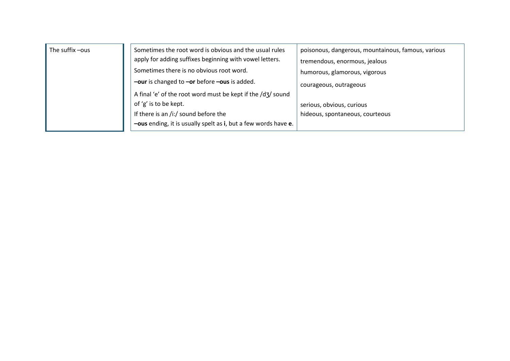| The suffix -ous | Sometimes the root word is obvious and the usual rules         | poisonous, dangerous, mountainous, famous, various |
|-----------------|----------------------------------------------------------------|----------------------------------------------------|
|                 | apply for adding suffixes beginning with vowel letters.        | tremendous, enormous, jealous                      |
|                 | Sometimes there is no obvious root word.                       | humorous, glamorous, vigorous                      |
|                 | -our is changed to -or before -ous is added.                   | courageous, outrageous                             |
|                 | A final 'e' of the root word must be kept if the /d3/ sound    |                                                    |
|                 | of 'g' is to be kept.                                          | serious, obvious, curious                          |
|                 | If there is an /i:/ sound before the                           | hideous, spontaneous, courteous                    |
|                 | -ous ending, it is usually spelt as i, but a few words have e. |                                                    |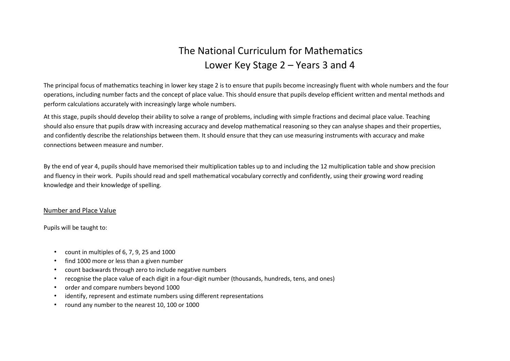# The National Curriculum for Mathematics Lower Key Stage 2 – Years 3 and 4

The principal focus of mathematics teaching in lower key stage 2 is to ensure that pupils become increasingly fluent with whole numbers and the four operations, including number facts and the concept of place value. This should ensure that pupils develop efficient written and mental methods and perform calculations accurately with increasingly large whole numbers.

At this stage, pupils should develop their ability to solve a range of problems, including with simple fractions and decimal place value. Teaching should also ensure that pupils draw with increasing accuracy and develop mathematical reasoning so they can analyse shapes and their properties, and confidently describe the relationships between them. It should ensure that they can use measuring instruments with accuracy and make connections between measure and number.

By the end of year 4, pupils should have memorised their multiplication tables up to and including the 12 multiplication table and show precision and fluency in their work. Pupils should read and spell mathematical vocabulary correctly and confidently, using their growing word reading knowledge and their knowledge of spelling.

#### Number and Place Value

Pupils will be taught to:

- count in multiples of  $6, 7, 9, 25$  and  $1000$
- find 1000 more or less than a given number
- count backwards through zero to include negative numbers
- recognise the place value of each digit in a four-digit number (thousands, hundreds, tens, and ones)
- order and compare numbers beyond 1000
- identify, represent and estimate numbers using different representations
- round any number to the nearest 10, 100 or 1000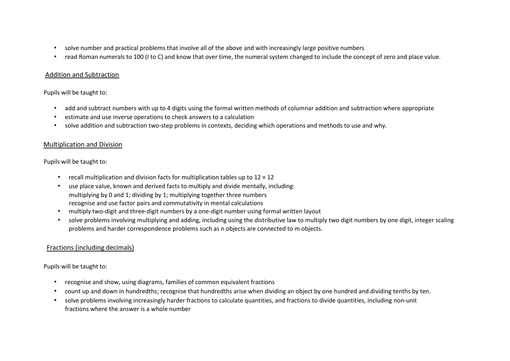- solve number and practical problems that involve all of the above and with increasingly large positive numbers
- read Roman numerals to 100 (I to C) and know that over time, the numeral system changed to include the concept of zero and place value.

#### Addition and Subtraction

#### Pupils will be taught to:

- add and subtract numbers with up to 4 digits using the formal written methods of columnar addition and subtraction where appropriate
- estimate and use inverse operations to check answers to a calculation
- solve addition and subtraction two-step problems in contexts, deciding which operations and methods to use and why.

#### Multiplication and Division

#### Pupils will be taught to:

- recall multiplication and division facts for multiplication tables up to  $12 \times 12$
- use place value, known and derived facts to multiply and divide mentally, including: multiplying by 0 and 1; dividing by 1; multiplying together three numbers recognise and use factor pairs and commutativity in mental calculations
- multiply two-digit and three-digit numbers by a one-digit number using formal written layout
- solve problems involving multiplying and adding, including using the distributive law to multiply two digit numbers by one digit, integer scaling problems and harder correspondence problems such as n objects are connected to m objects.

#### Fractions (including decimals)

#### Pupils will be taught to:

- recognise and show, using diagrams, families of common equivalent fractions
- count up and down in hundredths; recognise that hundredths arise when dividing an object by one hundred and dividing tenths by ten.
- solve problems involving increasingly harder fractions to calculate quantities, and fractions to divide quantities, including non-unit fractions where the answer is a whole number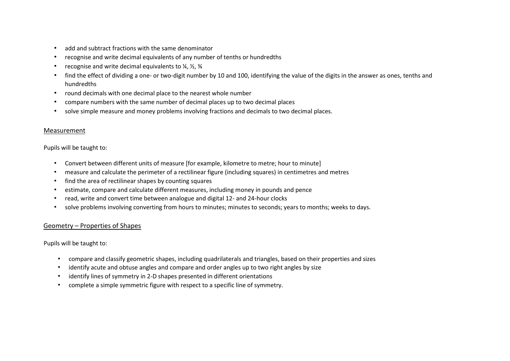- add and subtract fractions with the same denominator
- recognise and write decimal equivalents of any number of tenths or hundredths
- recognise and write decimal equivalents to  $\frac{1}{4}$ ,  $\frac{1}{2}$ ,  $\frac{3}{4}$
- find the effect of dividing a one- or two-digit number by 10 and 100, identifying the value of the digits in the answer as ones, tenths and hundredths
- round decimals with one decimal place to the nearest whole number
- compare numbers with the same number of decimal places up to two decimal places
- solve simple measure and money problems involving fractions and decimals to two decimal places.

#### Measurement

#### Pupils will be taught to:

- Convert between different units of measure [for example, kilometre to metre; hour to minute]
- measure and calculate the perimeter of a rectilinear figure (including squares) in centimetres and metres
- find the area of rectilinear shapes by counting squares
- estimate, compare and calculate different measures, including money in pounds and pence
- read, write and convert time between analogue and digital 12- and 24-hour clocks
- solve problems involving converting from hours to minutes; minutes to seconds; years to months; weeks to days.

#### Geometry – Properties of Shapes

Pupils will be taught to:

- compare and classify geometric shapes, including quadrilaterals and triangles, based on their properties and sizes
- identify acute and obtuse angles and compare and order angles up to two right angles by size
- identify lines of symmetry in 2-D shapes presented in different orientations
- complete a simple symmetric figure with respect to a specific line of symmetry.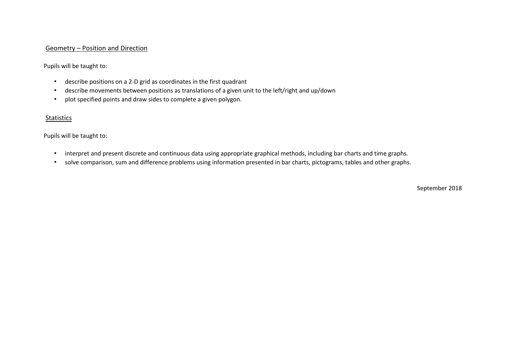#### Geometry – Position and Direction

Pupils will be taught to:

- describe positions on a 2-D grid as coordinates in the first quadrant
- describe movements between positions as translations of a given unit to the left/right and up/down
- plot specified points and draw sides to complete a given polygon.

#### Statistics

Pupils will be taught to:

- interpret and present discrete and continuous data using appropriate graphical methods, including bar charts and time graphs.
- solve comparison, sum and difference problems using information presented in bar charts, pictograms, tables and other graphs.

September 2018